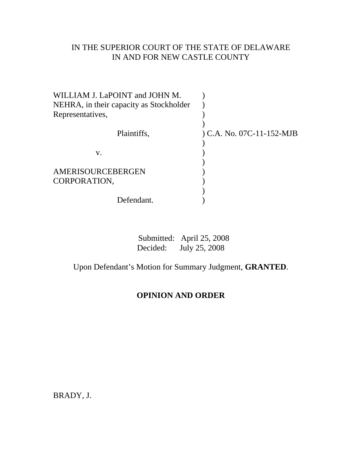## IN THE SUPERIOR COURT OF THE STATE OF DELAWARE IN AND FOR NEW CASTLE COUNTY

| WILLIAM J. LaPOINT and JOHN M.<br>NEHRA, in their capacity as Stockholder |                           |
|---------------------------------------------------------------------------|---------------------------|
| Representatives,                                                          |                           |
| Plaintiffs,                                                               | ) C.A. No. 07C-11-152-MJB |
| V.                                                                        |                           |
| AMERISOURCEBERGEN<br>CORPORATION,                                         |                           |
| Defendant.                                                                |                           |

|          | Submitted: April 25, 2008 |
|----------|---------------------------|
| Decided: | July 25, 2008             |

Upon Defendant's Motion for Summary Judgment, **GRANTED**.

# **OPINION AND ORDER**

BRADY, J.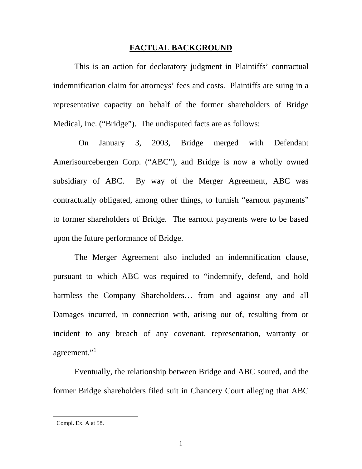#### **FACTUAL BACKGROUND**

This is an action for declaratory judgment in Plaintiffs' contractual indemnification claim for attorneys' fees and costs. Plaintiffs are suing in a representative capacity on behalf of the former shareholders of Bridge Medical, Inc. ("Bridge"). The undisputed facts are as follows:

 On January 3, 2003, Bridge merged with Defendant Amerisourcebergen Corp. ("ABC"), and Bridge is now a wholly owned subsidiary of ABC. By way of the Merger Agreement, ABC was contractually obligated, among other things, to furnish "earnout payments" to former shareholders of Bridge. The earnout payments were to be based upon the future performance of Bridge.

The Merger Agreement also included an indemnification clause, pursuant to which ABC was required to "indemnify, defend, and hold harmless the Company Shareholders... from and against any and all Damages incurred, in connection with, arising out of, resulting from or incident to any breach of any covenant, representation, warranty or agreement."

Eventually, the relationship between Bridge and ABC soured, and the former Bridge shareholders filed suit in Chancery Court alleging that ABC

<span id="page-1-0"></span> $<sup>1</sup>$  Compl. Ex. A at 58.</sup>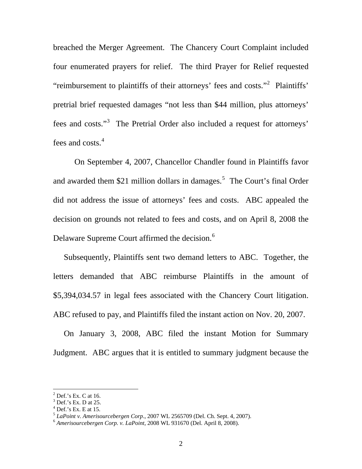breached the Merger Agreement. The Chancery Court Complaint included four enumerated prayers for relief. The third Prayer for Relief requested "reimbursement to plaintiffs of their attorneys' fees and costs."<sup>[2](#page-2-0)</sup> Plaintiffs' pretrial brief requested damages "not less than \$44 million, plus attorneys' fees and costs."<sup>[3](#page-2-1)</sup> The Pretrial Order also included a request for attorneys' fees and costs.<sup>[4](#page-2-2)</sup>

On September 4, 2007, Chancellor Chandler found in Plaintiffs favor and awarded them \$21 million dollars in damages.<sup>[5](#page-2-3)</sup> The Court's final Order did not address the issue of attorneys' fees and costs. ABC appealed the decision on grounds not related to fees and costs, and on April 8, 2008 the Delaware Supreme Court affirmed the decision.<sup>[6](#page-2-4)</sup>

Subsequently, Plaintiffs sent two demand letters to ABC. Together, the letters demanded that ABC reimburse Plaintiffs in the amount of \$5,394,034.57 in legal fees associated with the Chancery Court litigation. ABC refused to pay, and Plaintiffs filed the instant action on Nov. 20, 2007.

On January 3, 2008, ABC filed the instant Motion for Summary Judgment. ABC argues that it is entitled to summary judgment because the

<span id="page-2-0"></span> $<sup>2</sup>$  Def.'s Ex. C at 16.</sup>

<span id="page-2-1"></span> $3$  Def.'s Ex. D at 25.

<span id="page-2-2"></span> $<sup>4</sup>$  Def.'s Ex. E at 15.</sup>

<span id="page-2-3"></span><sup>&</sup>lt;sup>5</sup> *LaPoint v. Amerisourcebergen Corp.*, 2007 WL 2565709 (Del. Ch. Sept. 4, 2007).<br><sup>6</sup> *Amerisourcebergen Corp. v. LaPoint*, 2008 WL 931670 (Del. April 8, 2008).

<span id="page-2-4"></span>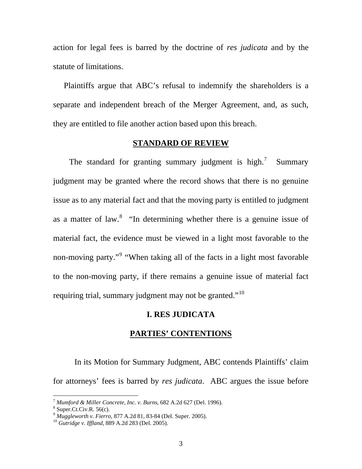action for legal fees is barred by the doctrine of *res judicata* and by the statute of limitations.

Plaintiffs argue that ABC's refusal to indemnify the shareholders is a separate and independent breach of the Merger Agreement, and, as such, they are entitled to file another action based upon this breach.

## **STANDARD OF REVIEW**

The standard for granting summary judgment is high.<sup>[7](#page-3-0)</sup> Summary judgment may be granted where the record shows that there is no genuine issue as to any material fact and that the moving party is entitled to judgment as a matter of law. $8$  "In determining whether there is a genuine issue of material fact, the evidence must be viewed in a light most favorable to the non-moving party."<sup>[9](#page-3-2)</sup> "When taking all of the facts in a light most favorable to the non-moving party, if there remains a genuine issue of material fact requiring trial, summary judgment may not be granted."<sup>[10](#page-3-3)</sup>

## **I. RES JUDICATA**

#### **PARTIES' CONTENTIONS**

 In its Motion for Summary Judgment, ABC contends Plaintiffs' claim for attorneys' fees is barred by *res judicata*. ABC argues the issue before

 $7$  *Mumford & Miller Concrete, Inc. v. Burns,* 682 A.2d 627 (Del. 1996).

<span id="page-3-1"></span><span id="page-3-0"></span> $8 \text{ Super. Ct. Civ. R. } 56(c)$ .

<span id="page-3-2"></span><sup>9</sup> *Muggleworth v. Fierro*, 877 A.2d 81, 83-84 (Del. Super. 2005). 10 *Gutridge v. Iffland*, 889 A.2d 283 (Del. 2005).

<span id="page-3-3"></span>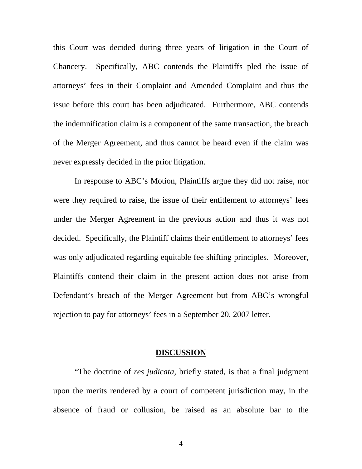this Court was decided during three years of litigation in the Court of Chancery. Specifically, ABC contends the Plaintiffs pled the issue of attorneys' fees in their Complaint and Amended Complaint and thus the issue before this court has been adjudicated. Furthermore, ABC contends the indemnification claim is a component of the same transaction, the breach of the Merger Agreement, and thus cannot be heard even if the claim was never expressly decided in the prior litigation.

In response to ABC's Motion, Plaintiffs argue they did not raise, nor were they required to raise, the issue of their entitlement to attorneys' fees under the Merger Agreement in the previous action and thus it was not decided. Specifically, the Plaintiff claims their entitlement to attorneys' fees was only adjudicated regarding equitable fee shifting principles. Moreover, Plaintiffs contend their claim in the present action does not arise from Defendant's breach of the Merger Agreement but from ABC's wrongful rejection to pay for attorneys' fees in a September 20, 2007 letter.

#### **DISCUSSION**

"The doctrine of *res judicata*, briefly stated, is that a final judgment upon the merits rendered by a court of competent jurisdiction may, in the absence of fraud or collusion, be raised as an absolute bar to the

4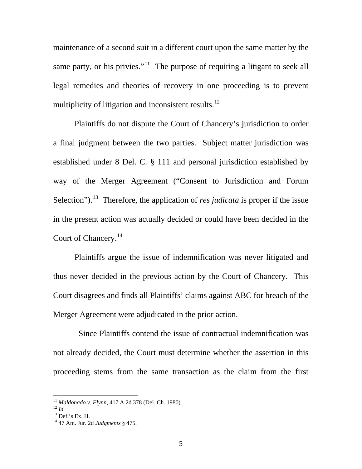maintenance of a second suit in a different court upon the same matter by the same party, or his privies."<sup>[11](#page-5-0)</sup> The purpose of requiring a litigant to seek all legal remedies and theories of recovery in one proceeding is to prevent multiplicity of litigation and inconsistent results.<sup>[12](#page-5-1)</sup>

Plaintiffs do not dispute the Court of Chancery's jurisdiction to order a final judgment between the two parties. Subject matter jurisdiction was established under 8 Del. C. § 111 and personal jurisdiction established by way of the Merger Agreement ("Consent to Jurisdiction and Forum Selection").<sup>[13](#page-5-2)</sup> Therefore, the application of *res judicata* is proper if the issue in the present action was actually decided or could have been decided in the Court of Chancery.<sup>[14](#page-5-3)</sup>

Plaintiffs argue the issue of indemnification was never litigated and thus never decided in the previous action by the Court of Chancery. This Court disagrees and finds all Plaintiffs' claims against ABC for breach of the Merger Agreement were adjudicated in the prior action.

 Since Plaintiffs contend the issue of contractual indemnification was not already decided, the Court must determine whether the assertion in this proceeding stems from the same transaction as the claim from the first

<span id="page-5-0"></span><sup>&</sup>lt;sup>11</sup> *Maldonado v. Flynn*, 417 A.2d 378 (Del. Ch. 1980).<br><sup>12</sup> *Id.* 13 Def.'s Ex. H.

<span id="page-5-2"></span><span id="page-5-1"></span>

<span id="page-5-3"></span><sup>14 47</sup> Am. Jur. 2d *Judgments* § 475.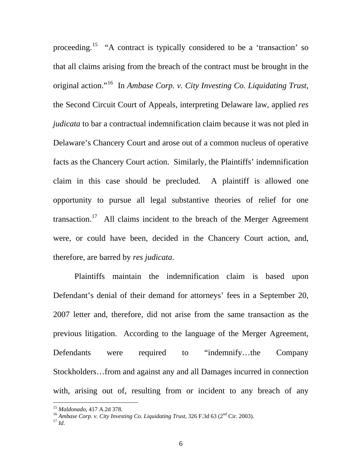proceeding.[15](#page-6-0) "A contract is typically considered to be a 'transaction' so that all claims arising from the breach of the contract must be brought in the original action."[16](#page-6-1) In *Ambase Corp. v. City Investing Co. Liquidating Trust*, the Second Circuit Court of Appeals, interpreting Delaware law, applied *res judicata* to bar a contractual indemnification claim because it was not pled in Delaware's Chancery Court and arose out of a common nucleus of operative facts as the Chancery Court action. Similarly, the Plaintiffs' indemnification claim in this case should be precluded. A plaintiff is allowed one opportunity to pursue all legal substantive theories of relief for one transaction.<sup>[17](#page-6-2)</sup> All claims incident to the breach of the Merger Agreement were, or could have been, decided in the Chancery Court action, and, therefore, are barred by *res judicata*.

Plaintiffs maintain the indemnification claim is based upon Defendant's denial of their demand for attorneys' fees in a September 20, 2007 letter and, therefore, did not arise from the same transaction as the previous litigation. According to the language of the Merger Agreement, Defendants were required to "indemnify…the Company Stockholders…from and against any and all Damages incurred in connection with, arising out of, resulting from or incident to any breach of any

<span id="page-6-1"></span><span id="page-6-0"></span><sup>&</sup>lt;sup>15</sup> *Maldonado*, 417 A.2d 378.<br><sup>16</sup> *Ambase Corp. v. City Investing Co. Liquidating Trust*, 326 F.3d 63 (2<sup>nd</sup> Cir. 2003).<br><sup>17</sup> *Id.* 

<span id="page-6-2"></span>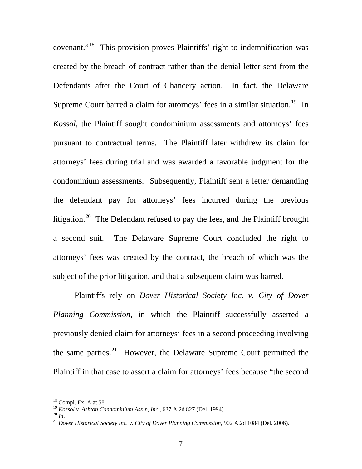covenant."[18](#page-7-0) This provision proves Plaintiffs' right to indemnification was created by the breach of contract rather than the denial letter sent from the Defendants after the Court of Chancery action. In fact, the Delaware Supreme Court barred a claim for attorneys' fees in a similar situation.<sup>[19](#page-7-1)</sup> In *Kossol*, the Plaintiff sought condominium assessments and attorneys' fees pursuant to contractual terms. The Plaintiff later withdrew its claim for attorneys' fees during trial and was awarded a favorable judgment for the condominium assessments. Subsequently, Plaintiff sent a letter demanding the defendant pay for attorneys' fees incurred during the previous litigation.<sup>[20](#page-7-2)</sup> The Defendant refused to pay the fees, and the Plaintiff brought a second suit. The Delaware Supreme Court concluded the right to attorneys' fees was created by the contract, the breach of which was the subject of the prior litigation, and that a subsequent claim was barred.

Plaintiffs rely on *Dover Historical Society Inc. v. City of Dover Planning Commission*, in which the Plaintiff successfully asserted a previously denied claim for attorneys' fees in a second proceeding involving the same parties. $21$  However, the Delaware Supreme Court permitted the Plaintiff in that case to assert a claim for attorneys' fees because "the second

<span id="page-7-1"></span><span id="page-7-0"></span><sup>&</sup>lt;sup>18</sup> Compl. Ex. A at 58.<br><sup>19</sup> *Kossol v. Ashton Condominium Ass'n, Inc.,* 637 A.2d 827 (Del. 1994).

<span id="page-7-3"></span><span id="page-7-2"></span>

<sup>&</sup>lt;sup>20</sup> Id.<br><sup>21</sup> Dover Historical Society Inc. v. City of Dover Planning Commission, 902 A.2d 1084 (Del. 2006).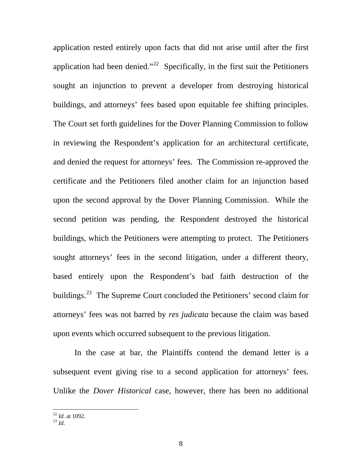application rested entirely upon facts that did not arise until after the first application had been denied."<sup>[22](#page-8-0)</sup> Specifically, in the first suit the Petitioners sought an injunction to prevent a developer from destroying historical buildings, and attorneys' fees based upon equitable fee shifting principles. The Court set forth guidelines for the Dover Planning Commission to follow in reviewing the Respondent's application for an architectural certificate, and denied the request for attorneys' fees. The Commission re-approved the certificate and the Petitioners filed another claim for an injunction based upon the second approval by the Dover Planning Commission. While the second petition was pending, the Respondent destroyed the historical buildings, which the Petitioners were attempting to protect. The Petitioners sought attorneys' fees in the second litigation, under a different theory, based entirely upon the Respondent's bad faith destruction of the buildings.<sup>[23](#page-8-1)</sup> The Supreme Court concluded the Petitioners' second claim for attorneys' fees was not barred by *res judicata* because the claim was based upon events which occurred subsequent to the previous litigation.

In the case at bar, the Plaintiffs contend the demand letter is a subsequent event giving rise to a second application for attorneys' fees. Unlike the *Dover Historical* case, however, there has been no additional

<span id="page-8-0"></span> $\overline{a}$ <sup>22</sup> *Id.* at 1092. 23 *Id*.

<span id="page-8-1"></span>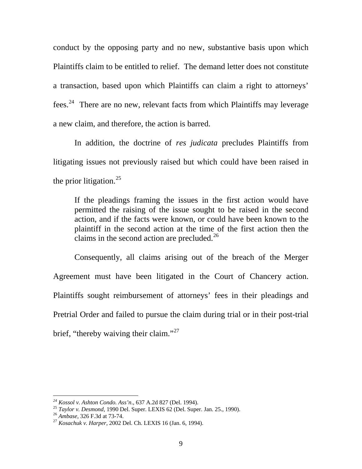conduct by the opposing party and no new, substantive basis upon which Plaintiffs claim to be entitled to relief. The demand letter does not constitute a transaction, based upon which Plaintiffs can claim a right to attorneys' fees.[24](#page-9-0) There are no new, relevant facts from which Plaintiffs may leverage a new claim, and therefore, the action is barred.

In addition, the doctrine of *res judicata* precludes Plaintiffs from litigating issues not previously raised but which could have been raised in the prior litigation.<sup>[25](#page-9-1)</sup>

If the pleadings framing the issues in the first action would have permitted the raising of the issue sought to be raised in the second action, and if the facts were known, or could have been known to the plaintiff in the second action at the time [o](#page-9-2)f the first action then the claims in the second action are precluded.<sup>[26](#page-9-2)</sup>

Consequently, all claims arising out of the breach of the Merger Agreement must have been litigated in the Court of Chancery action. Plaintiffs sought reimbursement of attorneys' fees in their pleadings and Pretrial Order and failed to pursue the claim during trial or in their post-trial brief, "thereby waiving their claim."<sup>[27](#page-9-3)</sup>

<span id="page-9-1"></span><span id="page-9-0"></span>

<sup>&</sup>lt;sup>24</sup> Kossol v. Ashton Condo. Ass'n., 637 A.2d 827 (Del. 1994).<br><sup>25</sup> Taylor v. Desmond, 1990 Del. Super. LEXIS 62 (Del. Super. Jan. 25., 1990).<br><sup>26</sup> Ambase, 326 F.3d at 73-74.<br><sup>27</sup> Kosachuk v. Harper, 2002 Del. Ch. LEXIS 16

<span id="page-9-2"></span>

<span id="page-9-3"></span>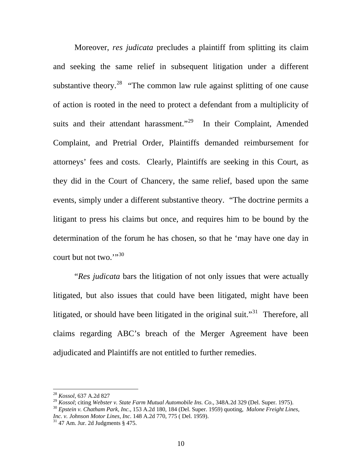Moreover, *res judicata* precludes a plaintiff from splitting its claim and seeking the same relief in subsequent litigation under a different substantive theory.<sup>[28](#page-10-0)</sup> "The common law rule against splitting of one cause of action is rooted in the need to protect a defendant from a multiplicity of suits and their attendant harassment."<sup>[29](#page-10-1)</sup> In their Complaint, Amended Complaint, and Pretrial Order, Plaintiffs demanded reimbursement for attorneys' fees and costs. Clearly, Plaintiffs are seeking in this Court, as they did in the Court of Chancery, the same relief, based upon the same events, simply under a different substantive theory. "The doctrine permits a litigant to press his claims but once, and requires him to be bound by the determination of the forum he has chosen, so that he 'may have one day in court but not two."<sup>[30](#page-10-2)</sup>

 "*Res judicata* bars the litigation of not only issues that were actually litigated, but also issues that could have been litigated, might have been litigated, or should have been litigated in the original suit."<sup>[31](#page-10-3)</sup> Therefore, all claims regarding ABC's breach of the Merger Agreement have been adjudicated and Plaintiffs are not entitled to further remedies.

<sup>28</sup> *Kossol,* 637 A.2d 827

<span id="page-10-1"></span><span id="page-10-0"></span>*Possot, 651 A.2d 621*<br><sup>29</sup> *Kossol*; citing *Webster v. State Farm Mutual Automobile Ins. Co.*, 348A.2d 329 (Del. Super. 1975).<br><sup>30</sup> *Epstein v. Chatham Park, Inc.*, 153 A.2d 180, 184 (Del. Super. 1959) quoting, *Malone F* 

<span id="page-10-2"></span>*Inc. v. Johnson Motor Lines, Inc.* 148 A.2d 770, 775 ( Del. 1959). <sup>31</sup> 47 Am. Jur. 2d Judgments § 475.

<span id="page-10-3"></span>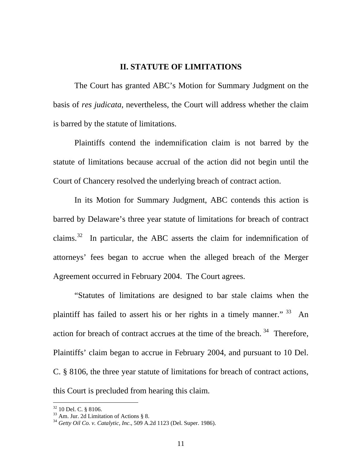## **II. STATUTE OF LIMITATIONS**

 The Court has granted ABC's Motion for Summary Judgment on the basis of *res judicata*, nevertheless, the Court will address whether the claim is barred by the statute of limitations.

 Plaintiffs contend the indemnification claim is not barred by the statute of limitations because accrual of the action did not begin until the Court of Chancery resolved the underlying breach of contract action.

In its Motion for Summary Judgment, ABC contends this action is barred by Delaware's three year statute of limitations for breach of contract claims.<sup>[32](#page-11-0)</sup> In particular, the ABC asserts the claim for indemnification of attorneys' fees began to accrue when the alleged breach of the Merger Agreement occurred in February 2004. The Court agrees.

"Statutes of limitations are designed to bar stale claims when the plaintiff has failed to assert his or her rights in a timely manner."  $33$  An action for breach of contract accrues at the time of the breach.<sup>[34](#page-11-2)</sup> Therefore, Plaintiffs' claim began to accrue in February 2004, and pursuant to 10 Del. C. § 8106, the three year statute of limitations for breach of contract actions, this Court is precluded from hearing this claim.

<span id="page-11-0"></span><sup>32 10</sup> Del. C. § 8106.

<span id="page-11-1"></span> $33$  Am. Jur. 2d Limitation of Actions § 8.

<span id="page-11-2"></span><sup>34</sup> *Getty Oil Co. v. Catalytic, Inc*., 509 A.2d 1123 (Del. Super. 1986).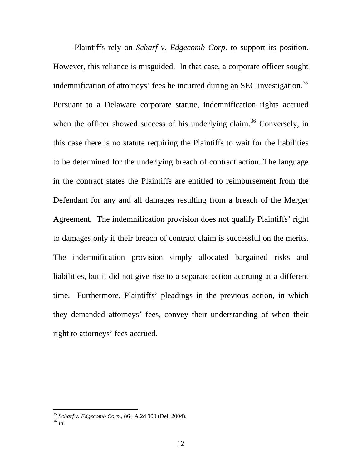Plaintiffs rely on *Scharf v. Edgecomb Corp*. to support its position. However, this reliance is misguided. In that case, a corporate officer sought indemnification of attorneys' fees he incurred during an SEC investigation.<sup>35</sup> Pursuant to a Delaware corporate statute, indemnification rights accrued when the officer showed success of his underlying claim.<sup>[36](#page-12-1)</sup> Conversely, in this case there is no statute requiring the Plaintiffs to wait for the liabilities to be determined for the underlying breach of contract action. The language in the contract states the Plaintiffs are entitled to reimbursement from the Defendant for any and all damages resulting from a breach of the Merger Agreement. The indemnification provision does not qualify Plaintiffs' right to damages only if their breach of contract claim is successful on the merits. The indemnification provision simply allocated bargained risks and liabilities, but it did not give rise to a separate action accruing at a different time. Furthermore, Plaintiffs' pleadings in the previous action, in which they demanded attorneys' fees, convey their understanding of when their right to attorneys' fees accrued.

<span id="page-12-0"></span><sup>35</sup> *Scharf v. Edgecomb Corp*., 864 A.2d 909 (Del. 2004). *36 Id.*

<span id="page-12-1"></span>